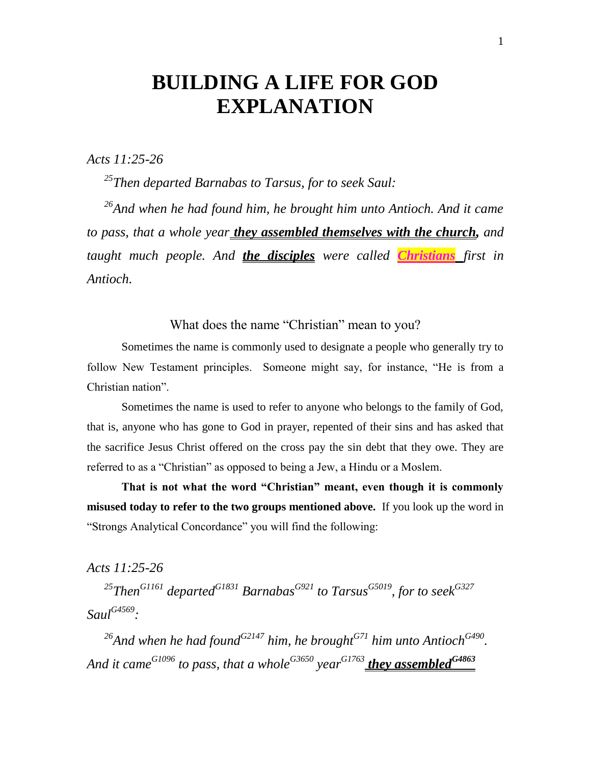# **BUILDING A LIFE FOR GOD EXPLANATION**

*Acts 11:25-26*

*<sup>25</sup>Then departed Barnabas to Tarsus, for to seek Saul:*

*<sup>26</sup>And when he had found him, he brought him unto Antioch. And it came to pass, that a whole year they assembled themselves with the church, and taught much people. And the disciples were called Christians first in Antioch.*

What does the name "Christian" mean to you?

Sometimes the name is commonly used to designate a people who generally try to follow New Testament principles. Someone might say, for instance, "He is from a Christian nation".

Sometimes the name is used to refer to anyone who belongs to the family of God, that is, anyone who has gone to God in prayer, repented of their sins and has asked that the sacrifice Jesus Christ offered on the cross pay the sin debt that they owe. They are referred to as a "Christian" as opposed to being a Jew, a Hindu or a Moslem.

**That is not what the word "Christian" meant, even though it is commonly misused today to refer to the two groups mentioned above.** If you look up the word in "Strongs Analytical Concordance" you will find the following:

*Acts 11:25-26*

*<sup>25</sup>ThenG1161 departedG1831 BarnabasG921 to TarsusG5019, for to seekG327 SaulG4569 :*

*<sup>26</sup>And when he had foundG2147 him, he broughtG71 him unto AntiochG490 . And it cameG1096 to pass, that a wholeG3650 year G1763 they assembledG4863*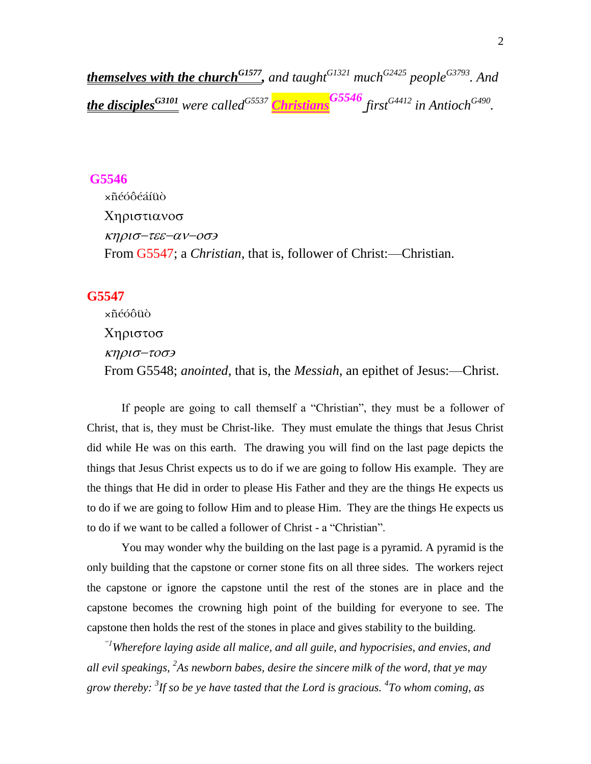*themselves with the churchG1577 , and taughtG1321 muchG2425 peopleG3793. And the disciplesG3101 were calledG5537 ChristiansG5546 firstG4412 in AntiochG490 .*

#### **G5546**

×ñéóôéáíüò Χηριστιανοσ κηρισ-τεε-αν-οσε From G5547; a *Christian*, that is, follower of Christ:—Christian.

#### **G5547**

×ñéóôüò Χηριστοσ κηρισ-τοσε From G5548; *anointed*, that is, the *Messiah*, an epithet of Jesus:—Christ.

If people are going to call themself a "Christian", they must be a follower of Christ, that is, they must be Christ-like. They must emulate the things that Jesus Christ did while He was on this earth. The drawing you will find on the last page depicts the things that Jesus Christ expects us to do if we are going to follow His example. They are the things that He did in order to please His Father and they are the things He expects us to do if we are going to follow Him and to please Him. They are the things He expects us to do if we want to be called a follower of Christ - a "Christian".

You may wonder why the building on the last page is a pyramid. A pyramid is the only building that the capstone or corner stone fits on all three sides. The workers reject the capstone or ignore the capstone until the rest of the stones are in place and the capstone becomes the crowning high point of the building for everyone to see. The capstone then holds the rest of the stones in place and gives stability to the building.

*"1Wherefore laying aside all malice, and all guile, and hypocrisies, and envies, and all evil speakings, <sup>2</sup> As newborn babes, desire the sincere milk of the word, that ye may grow thereby: <sup>3</sup> If so be ye have tasted that the Lord is gracious. <sup>4</sup> To whom coming, as*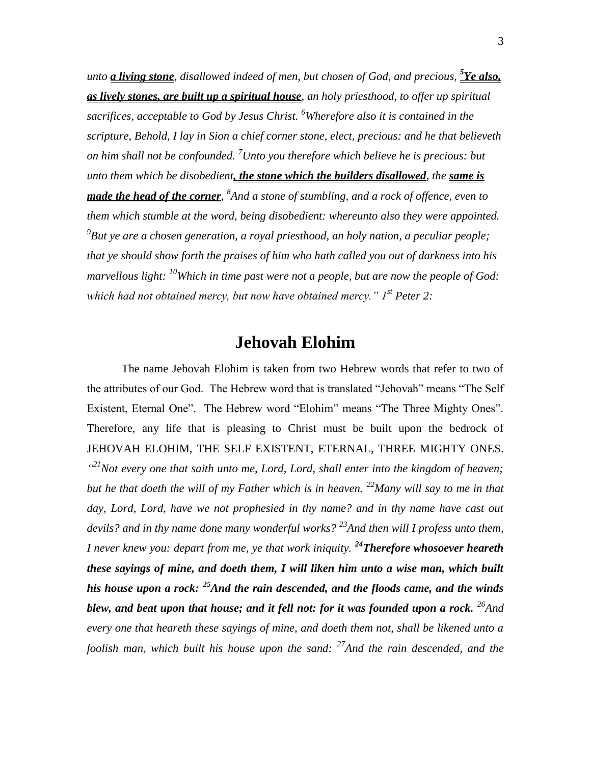unto *<u>a living stone</u>, disallowed indeed of men, but chosen of God, and precious,*  $\frac{\delta \textbf{Y} e \textbf{ also.}}{\delta}$ *as lively stones, are built up a spiritual house, an holy priesthood, to offer up spiritual sacrifices, acceptable to God by Jesus Christ. <sup>6</sup>Wherefore also it is contained in the scripture, Behold, I lay in Sion a chief corner stone, elect, precious: and he that believeth on him shall not be confounded. <sup>7</sup>Unto you therefore which believe he is precious: but unto them which be disobedient, the stone which the builders disallowed, the same is made the head of the corner*, <sup>8</sup>And a stone of stumbling, and a rock of offence, even to *them which stumble at the word, being disobedient: whereunto also they were appointed. 9 But ye are a chosen generation, a royal priesthood, an holy nation, a peculiar people; that ye should show forth the praises of him who hath called you out of darkness into his marvellous light: <sup>10</sup>Which in time past were not a people, but are now the people of God: which had not obtained mercy, but now have obtained mercy." 1st Peter 2:*

## **Jehovah Elohim**

The name Jehovah Elohim is taken from two Hebrew words that refer to two of the attributes of our God. The Hebrew word that is translated "Jehovah" means "The Self Existent, Eternal One". The Hebrew word "Elohim" means "The Three Mighty Ones". Therefore, any life that is pleasing to Christ must be built upon the bedrock of JEHOVAH ELOHIM, THE SELF EXISTENT, ETERNAL, THREE MIGHTY ONES. <sup>421</sup>Not every one that saith unto me, Lord, Lord, shall enter into the kingdom of heaven; *but he that doeth the will of my Father which is in heaven. <sup>22</sup>Many will say to me in that*  day, Lord, Lord, have we not prophesied in thy name? and in thy name have cast out *devils? and in thy name done many wonderful works? <sup>23</sup>And then will I profess unto them, I never knew you: depart from me, ye that work iniquity. <sup>24</sup>Therefore whosoever heareth these sayings of mine, and doeth them, I will liken him unto a wise man, which built his house upon a rock: <sup>25</sup>And the rain descended, and the floods came, and the winds blew, and beat upon that house; and it fell not: for it was founded upon a rock. <sup>26</sup>And every one that heareth these sayings of mine, and doeth them not, shall be likened unto a foolish man, which built his house upon the sand: <sup>27</sup>And the rain descended, and the*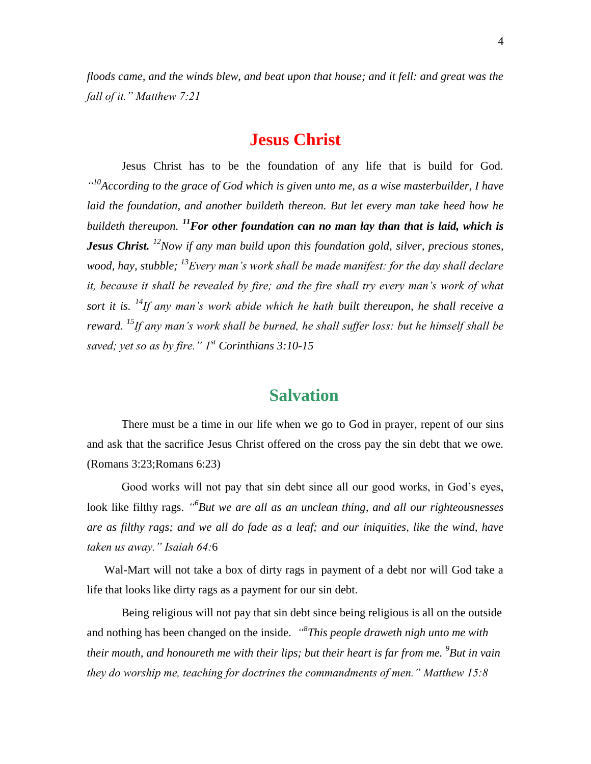*floods came, and the winds blew, and beat upon that house; and it fell: and great was the fall of it." Matthew 7:21*

### **Jesus Christ**

Jesus Christ has to be the foundation of any life that is build for God. *" <sup>10</sup>According to the grace of God which is given unto me, as a wise masterbuilder, I have laid the foundation, and another buildeth thereon. But let every man take heed how he buildeth thereupon. <sup>11</sup>For other foundation can no man lay than that is laid, which is Jesus Christ. <sup>12</sup>Now if any man build upon this foundation gold, silver, precious stones, wood, hay, stubble; <sup>13</sup>Every man's work shall be made manifest: for the day shall declare it, because it shall be revealed by fire; and the fire shall try every man's work of what sort it is. <sup>14</sup>If any man's work abide which he hath built thereupon, he shall receive a reward. <sup>15</sup>If any man's work shall be burned, he shall suffer loss: but he himself shall be saved; yet so as by fire." 1st Corinthians 3:10-15*

### **Salvation**

There must be a time in our life when we go to God in prayer, repent of our sins and ask that the sacrifice Jesus Christ offered on the cross pay the sin debt that we owe. (Romans 3:23;Romans 6:23)

Good works will not pay that sin debt since all our good works, in God's eyes, look like filthy rags. *" 6 But we are all as an unclean thing, and all our righteousnesses are as filthy rags; and we all do fade as a leaf; and our iniquities, like the wind, have taken us away." Isaiah 64:*6

Wal-Mart will not take a box of dirty rags in payment of a debt nor will God take a life that looks like dirty rags as a payment for our sin debt.

Being religious will not pay that sin debt since being religious is all on the outside and nothing has been changed on the inside. *" 8 This people draweth nigh unto me with their mouth, and honoureth me with their lips; but their heart is far from me. <sup>9</sup> But in vain they do worship me, teaching for doctrines the commandments of men." Matthew 15:8*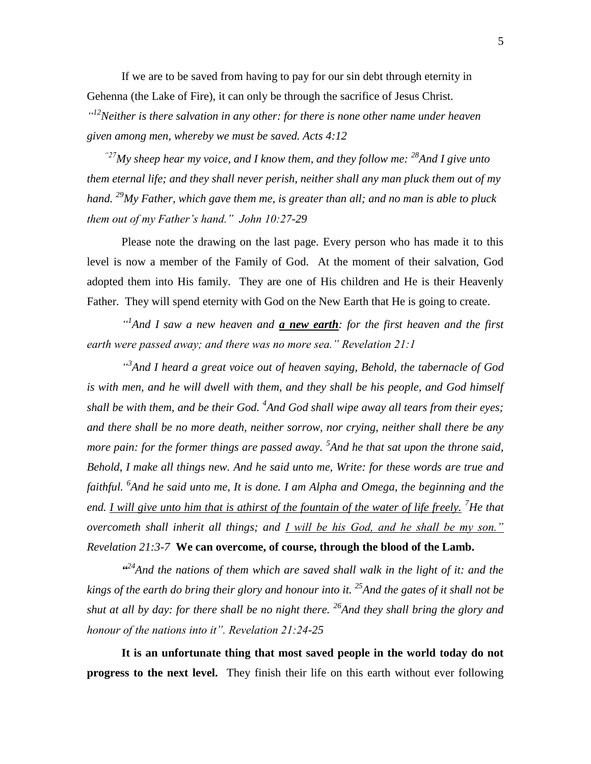If we are to be saved from having to pay for our sin debt through eternity in Gehenna (the Lake of Fire), it can only be through the sacrifice of Jesus Christ*. " <sup>12</sup>Neither is there salvation in any other: for there is none other name under heaven* 

*given among men, whereby we must be saved. Acts 4:12*

*"27My sheep hear my voice, and I know them, and they follow me: <sup>28</sup>And I give unto them eternal life; and they shall never perish, neither shall any man pluck them out of my hand. <sup>29</sup>My Father, which gave them me, is greater than all; and no man is able to pluck them out of my Father's hand." John 10:27-29*

Please note the drawing on the last page. Every person who has made it to this level is now a member of the Family of God. At the moment of their salvation, God adopted them into His family. They are one of His children and He is their Heavenly Father. They will spend eternity with God on the New Earth that He is going to create.

<sup>1</sup> And I saw a new heaven and **<u>a new earth</u>**: for the first heaven and the first *earth were passed away; and there was no more sea." Revelation 21:1*

*" 3 And I heard a great voice out of heaven saying, Behold, the tabernacle of God is with men, and he will dwell with them, and they shall be his people, and God himself shall be with them, and be their God. <sup>4</sup> And God shall wipe away all tears from their eyes; and there shall be no more death, neither sorrow, nor crying, neither shall there be any more pain: for the former things are passed away.* <sup>5</sup>And he that sat upon the throne said, *Behold, I make all things new. And he said unto me, Write: for these words are true and faithful. <sup>6</sup> And he said unto me, It is done. I am Alpha and Omega, the beginning and the end. I will give unto him that is athirst of the fountain of the water of life freely. <sup>7</sup>He that overcometh shall inherit all things; and I will be his God, and he shall be my son." Revelation 21:3-7* **We can overcome, of course, through the blood of the Lamb.**

<sup>424</sup> And the nations of them which are saved shall walk in the light of it: and the *kings of the earth do bring their glory and honour into it. <sup>25</sup>And the gates of it shall not be shut at all by day: for there shall be no night there. <sup>26</sup>And they shall bring the glory and honour of the nations into it". Revelation 21:24-25*

**It is an unfortunate thing that most saved people in the world today do not progress to the next level.** They finish their life on this earth without ever following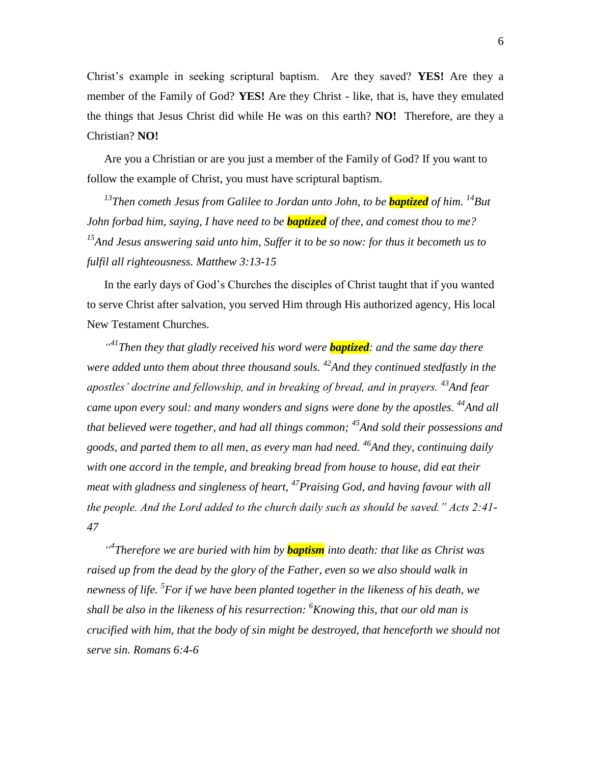Christ's example in seeking scriptural baptism. Are they saved? **YES!** Are they a member of the Family of God? **YES!** Are they Christ - like, that is, have they emulated the things that Jesus Christ did while He was on this earth? **NO!** Therefore, are they a Christian? **NO!**

Are you a Christian or are you just a member of the Family of God? If you want to follow the example of Christ, you must have scriptural baptism.

*<sup>13</sup>Then cometh Jesus from Galilee to Jordan unto John, to be baptized of him. <sup>14</sup>But John forbad him, saying, I have need to be baptized of thee, and comest thou to me? <sup>15</sup>And Jesus answering said unto him, Suffer it to be so now: for thus it becometh us to fulfil all righteousness. Matthew 3:13-15*

In the early days of God's Churches the disciples of Christ taught that if you wanted to serve Christ after salvation, you served Him through His authorized agency, His local New Testament Churches.

<sup>441</sup>Then they that gladly received his word were **baptized**: and the same day there *were added unto them about three thousand souls. <sup>42</sup>And they continued stedfastly in the apostles' doctrine and fellowship, and in breaking of bread, and in prayers. <sup>43</sup>And fear came upon every soul: and many wonders and signs were done by the apostles. <sup>44</sup>And all that believed were together, and had all things common; <sup>45</sup>And sold their possessions and goods, and parted them to all men, as every man had need. <sup>46</sup>And they, continuing daily with one accord in the temple, and breaking bread from house to house, did eat their meat with gladness and singleness of heart, <sup>47</sup>Praising God, and having favour with all the people. And the Lord added to the church daily such as should be saved." Acts 2:41- 47*

<sup>44</sup>Therefore we are buried with him by **baptism** into death: that like as Christ was *raised up from the dead by the glory of the Father, even so we also should walk in newness of life. <sup>5</sup> For if we have been planted together in the likeness of his death, we shall be also in the likeness of his resurrection: <sup>6</sup>Knowing this, that our old man is crucified with him, that the body of sin might be destroyed, that henceforth we should not serve sin. Romans 6:4-6*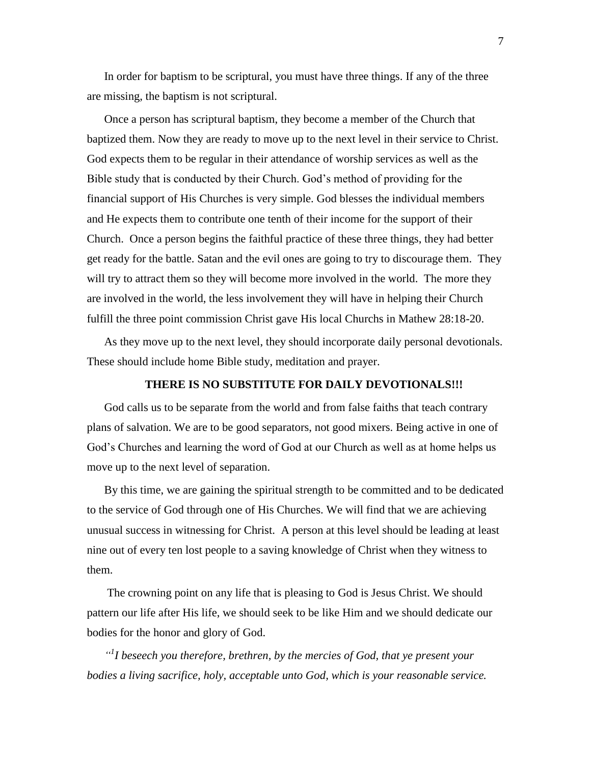In order for baptism to be scriptural, you must have three things. If any of the three are missing, the baptism is not scriptural.

Once a person has scriptural baptism, they become a member of the Church that baptized them. Now they are ready to move up to the next level in their service to Christ. God expects them to be regular in their attendance of worship services as well as the Bible study that is conducted by their Church. God's method of providing for the financial support of His Churches is very simple. God blesses the individual members and He expects them to contribute one tenth of their income for the support of their Church. Once a person begins the faithful practice of these three things, they had better get ready for the battle. Satan and the evil ones are going to try to discourage them. They will try to attract them so they will become more involved in the world. The more they are involved in the world, the less involvement they will have in helping their Church fulfill the three point commission Christ gave His local Churchs in Mathew 28:18-20.

As they move up to the next level, they should incorporate daily personal devotionals. These should include home Bible study, meditation and prayer.

#### **THERE IS NO SUBSTITUTE FOR DAILY DEVOTIONALS!!!**

God calls us to be separate from the world and from false faiths that teach contrary plans of salvation. We are to be good separators, not good mixers. Being active in one of God's Churches and learning the word of God at our Church as well as at home helps us move up to the next level of separation.

By this time, we are gaining the spiritual strength to be committed and to be dedicated to the service of God through one of His Churches. We will find that we are achieving unusual success in witnessing for Christ. A person at this level should be leading at least nine out of every ten lost people to a saving knowledge of Christ when they witness to them.

The crowning point on any life that is pleasing to God is Jesus Christ. We should pattern our life after His life, we should seek to be like Him and we should dedicate our bodies for the honor and glory of God.

*" 1 I beseech you therefore, brethren, by the mercies of God, that ye present your bodies a living sacrifice, holy, acceptable unto God, which is your reasonable service.*